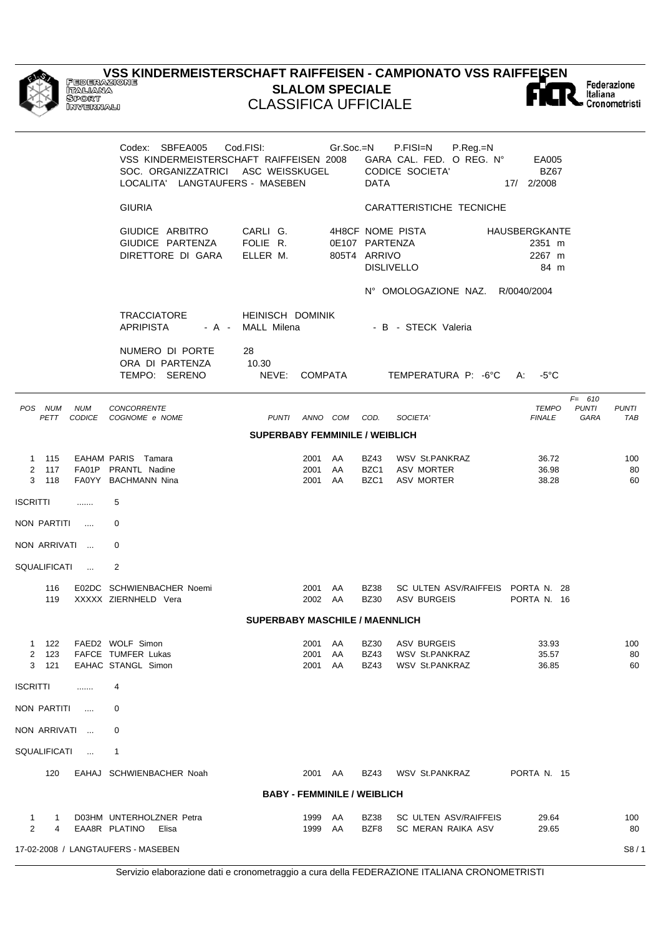

## **VSS KINDERMEISTERSCHAFT RAIFFEISEN - CAMPIONATO VSS RAIFFEISEN SLALOM SPECIALE** CLASSIFICA UFFICIALE

|                                                       | Codex: SBFEA005<br>VSS KINDERMEISTERSCHAFT RAIFFEISEN 2008<br>SOC. ORGANIZZATRICI ASC WEISSKUGEL<br>LOCALITA' LANGTAUFERS - MASEBEN | Cod.FISI:                                    | Gr.Soc.=N           | <b>DATA</b>                                                             | P.FISI=N<br>P.Reg.=N<br>GARA CAL. FED. O REG. Nº<br><b>CODICE SOCIETA'</b> | EA005<br><b>BZ67</b><br>17/ 2/2008                                 |                            |
|-------------------------------------------------------|-------------------------------------------------------------------------------------------------------------------------------------|----------------------------------------------|---------------------|-------------------------------------------------------------------------|----------------------------------------------------------------------------|--------------------------------------------------------------------|----------------------------|
|                                                       | <b>GIURIA</b>                                                                                                                       |                                              |                     |                                                                         | CARATTERISTICHE TECNICHE                                                   |                                                                    |                            |
|                                                       | GIUDICE ARBITRO<br>GIUDICE PARTENZA<br>DIRETTORE DI GARA                                                                            | CARLI G.<br>FOLIE R.<br>ELLER M.             |                     | 4H8CF NOME PISTA<br>0E107 PARTENZA<br>805T4 ARRIVO<br><b>DISLIVELLO</b> |                                                                            | HAUSBERGKANTE<br>2351 m<br>2267 m<br>84 m                          |                            |
|                                                       |                                                                                                                                     |                                              |                     |                                                                         | N° OMOLOGAZIONE NAZ. R/0040/2004                                           |                                                                    |                            |
|                                                       | <b>TRACCIATORE</b><br><b>APRIPISTA</b>                                                                                              | <b>HEINISCH DOMINIK</b><br>- A - MALL Milena |                     |                                                                         | - B - STECK Valeria                                                        |                                                                    |                            |
|                                                       | NUMERO DI PORTE<br>ORA DI PARTENZA<br>TEMPO: SERENO                                                                                 | 28<br>10.30<br>NEVE:                         | <b>COMPATA</b>      |                                                                         | TEMPERATURA P: -6°C                                                        | $-5^{\circ}$ C<br>А:                                               |                            |
| POS NUM<br><b>NUM</b><br><b>CODICE</b><br>PETT        | <b>CONCORRENTE</b><br>COGNOME e NOME                                                                                                | <b>PUNTI</b>                                 | ANNO COM            | COD.                                                                    | SOCIETA'                                                                   | $F = 610$<br><b>TEMPO</b><br><b>PUNTI</b><br><b>FINALE</b><br>GARA | <b>PUNTI</b><br><b>TAB</b> |
|                                                       |                                                                                                                                     | <b>SUPERBABY FEMMINILE / WEIBLICH</b>        |                     |                                                                         |                                                                            |                                                                    |                            |
| 1 115<br>$\overline{2}$<br>117<br>3<br>118            | EAHAM PARIS Tamara<br>FA01P PRANTL Nadine<br>FA0YY BACHMANN Nina                                                                    | 2001<br>2001<br>2001                         | AA<br>AA<br>AA      | <b>BZ43</b><br>BZC1<br>BZC1                                             | <b>WSV St.PANKRAZ</b><br><b>ASV MORTER</b><br><b>ASV MORTER</b>            | 36.72<br>36.98<br>38.28                                            | 100<br>80<br>60            |
| ISCRITTI<br>.                                         | 5                                                                                                                                   |                                              |                     |                                                                         |                                                                            |                                                                    |                            |
| NON PARTITI<br>$\sim$                                 | 0                                                                                                                                   |                                              |                     |                                                                         |                                                                            |                                                                    |                            |
| NON ARRIVATI<br>$\sim$                                | 0                                                                                                                                   |                                              |                     |                                                                         |                                                                            |                                                                    |                            |
| SQUALIFICATI<br>$\ddotsc$                             | 2                                                                                                                                   |                                              |                     |                                                                         |                                                                            |                                                                    |                            |
| 116<br>119                                            | E02DC SCHWIENBACHER Noemi<br>XXXXX ZIERNHELD Vera                                                                                   | 2001                                         | AA<br>2002 AA       | BZ38<br><b>BZ30</b>                                                     | SC ULTEN ASV/RAIFFEIS PORTA N. 28<br><b>ASV BURGEIS</b>                    | PORTA N. 16                                                        |                            |
|                                                       |                                                                                                                                     | <b>SUPERBABY MASCHILE / MAENNLICH</b>        |                     |                                                                         |                                                                            |                                                                    |                            |
| 1 122<br>2 123<br>3 121                               | FAED2 WOLF Simon<br>FAFCE TUMFER Lukas<br>EAHAC STANGL Simon                                                                        | 2001<br>2001                                 | 2001 AA<br>AA<br>AA | BZ30<br><b>BZ43</b><br><b>BZ43</b>                                      | ASV BURGEIS<br><b>WSV St.PANKRAZ</b><br>WSV St.PANKRAZ                     | 33.93<br>35.57<br>36.85                                            | 100<br>80<br>60            |
| ISCRITTI<br>.                                         | 4                                                                                                                                   |                                              |                     |                                                                         |                                                                            |                                                                    |                            |
| NON PARTITI                                           | 0                                                                                                                                   |                                              |                     |                                                                         |                                                                            |                                                                    |                            |
| NON ARRIVATI                                          | 0                                                                                                                                   |                                              |                     |                                                                         |                                                                            |                                                                    |                            |
| SQUALIFICATI<br>$\sim$                                | $\mathbf{1}$                                                                                                                        |                                              |                     |                                                                         |                                                                            |                                                                    |                            |
| 120                                                   | EAHAJ SCHWIENBACHER Noah                                                                                                            |                                              | 2001 AA             | <b>BZ43</b>                                                             | WSV St.PANKRAZ                                                             | PORTA N. 15                                                        |                            |
|                                                       |                                                                                                                                     | <b>BABY - FEMMINILE / WEIBLICH</b>           |                     |                                                                         |                                                                            |                                                                    |                            |
| $\mathbf{1}$<br>1<br>$\overline{2}$<br>$\overline{4}$ | D03HM UNTERHOLZNER Petra<br>EAA8R PLATINO<br>Elisa                                                                                  |                                              | 1999 AA<br>1999 AA  | BZ38<br>BZF8                                                            | SC ULTEN ASV/RAIFFEIS<br>SC MERAN RAIKA ASV                                | 29.64<br>29.65                                                     | 100<br>80                  |
| 17-02-2008 / LANGTAUFERS - MASEBEN                    |                                                                                                                                     |                                              |                     |                                                                         |                                                                            |                                                                    | S8/1                       |

Servizio elaborazione dati e cronometraggio a cura della FEDERAZIONE ITALIANA CRONOMETRISTI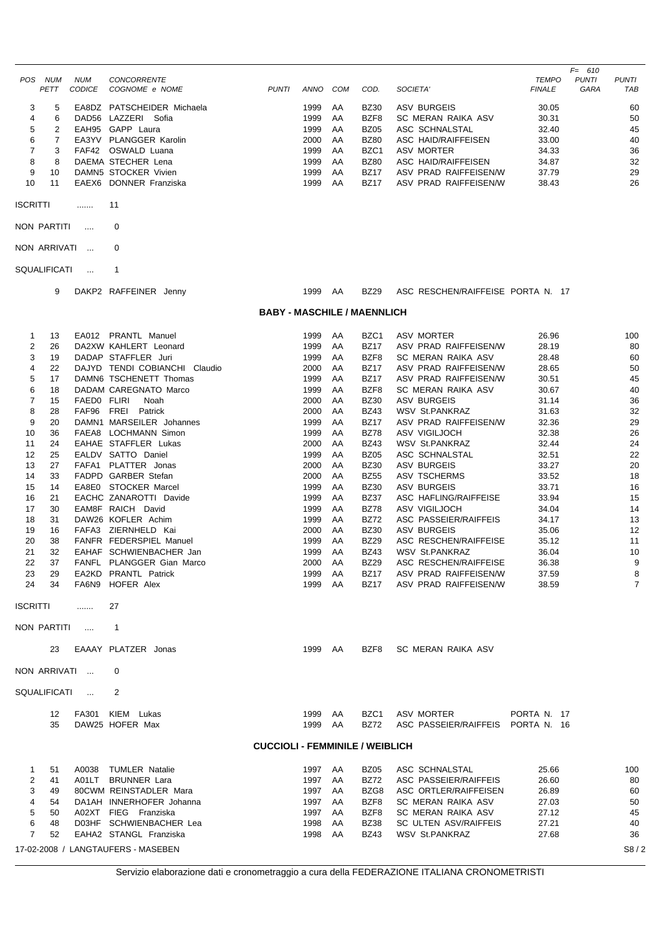|                     | POS NUM      | <b>NUM</b>                | CONCORRENTE                                       |                                        |                 |          |                            |                                                 | <b>TEMPO</b>   | $F = 610$<br><b>PUNTI</b> | PUNTI          |
|---------------------|--------------|---------------------------|---------------------------------------------------|----------------------------------------|-----------------|----------|----------------------------|-------------------------------------------------|----------------|---------------------------|----------------|
|                     | <b>PETT</b>  | CODICE                    | COGNOME e NOME                                    | <b>PUNTI</b>                           | ANNO            | COM      | COD.                       | SOCIETA'                                        | <b>FINALE</b>  | GARA                      | TAB            |
| 3                   | 5            |                           | EA8DZ PATSCHEIDER Michaela                        |                                        | 1999            | AA       | <b>BZ30</b>                | <b>ASV BURGEIS</b>                              | 30.05          |                           | 60             |
| 4                   | 6            |                           | DAD56 LAZZERI Sofia                               |                                        | 1999            | AA       | BZF8                       | SC MERAN RAIKA ASV                              | 30.31          |                           | 50             |
| 5                   | 2            |                           | EAH95 GAPP Laura                                  |                                        | 1999            | AA       | <b>BZ05</b>                | ASC SCHNALSTAL                                  | 32.40          |                           | 45             |
| 6<br>$\overline{7}$ | 7<br>3       |                           | EA3YV PLANGGER Karolin<br>FAF42 OSWALD Luana      |                                        | 2000<br>1999    | AA<br>AA | <b>BZ80</b><br>BZC1        | ASC HAID/RAIFFEISEN<br><b>ASV MORTER</b>        | 33.00<br>34.33 |                           | 40<br>36       |
| 8                   | 8            |                           | DAEMA STECHER Lena                                |                                        | 1999            | AA       | <b>BZ80</b>                | ASC HAID/RAIFFEISEN                             | 34.87          |                           | 32             |
| 9                   | 10           |                           | DAMN5 STOCKER Vivien                              |                                        | 1999            | AA       | <b>BZ17</b>                | ASV PRAD RAIFFEISEN/W                           | 37.79          |                           | 29             |
| 10                  | 11           |                           | EAEX6 DONNER Franziska                            |                                        | 1999            | AA       | BZ17                       | ASV PRAD RAIFFEISEN/W                           | 38.43          |                           | 26             |
| <b>ISCRITTI</b>     |              | .                         | 11                                                |                                        |                 |          |                            |                                                 |                |                           |                |
|                     | NON PARTITI  | $\sim$                    | 0                                                 |                                        |                 |          |                            |                                                 |                |                           |                |
|                     | NON ARRIVATI |                           | 0                                                 |                                        |                 |          |                            |                                                 |                |                           |                |
|                     | SQUALIFICATI | $\cdots$                  | $\mathbf 1$                                       |                                        |                 |          |                            |                                                 |                |                           |                |
|                     | 9            |                           | DAKP2 RAFFEINER Jenny                             |                                        | 1999            | AA       | <b>BZ29</b>                | ASC RESCHEN/RAIFFEISE PORTA N. 17               |                |                           |                |
|                     |              |                           |                                                   | <b>BABY - MASCHILE / MAENNLICH</b>     |                 |          |                            |                                                 |                |                           |                |
| $\mathbf{1}$        | 13           |                           | EA012 PRANTL Manuel                               |                                        | 1999            | AA       | BZC1                       | <b>ASV MORTER</b>                               | 26.96          |                           | 100            |
| 2                   | 26           |                           | DA2XW KAHLERT Leonard                             |                                        | 1999            | AA       | <b>BZ17</b>                | ASV PRAD RAIFFEISEN/W                           | 28.19          |                           | 80             |
| 3                   | 19           |                           | DADAP STAFFLER Juri                               |                                        | 1999            | AA       | BZF8                       | <b>SC MERAN RAIKA ASV</b>                       | 28.48          |                           | 60             |
| 4                   | 22           |                           | DAJYD TENDI COBIANCHI Claudio                     |                                        | 2000            | AA       | <b>BZ17</b>                | ASV PRAD RAIFFEISEN/W                           | 28.65          |                           | 50             |
| 5                   | 17           |                           | DAMN6 TSCHENETT Thomas                            |                                        | 1999            | AA       | <b>BZ17</b>                | ASV PRAD RAIFFEISEN/W                           | 30.51          |                           | 45             |
| 6                   | 18           |                           | DADAM CAREGNATO Marco                             |                                        | 1999            | AA       | BZF8                       | SC MERAN RAIKA ASV                              | 30.67          |                           | 40             |
| $\overline{7}$      | 15           | FAEDO FLIRI               | Noah                                              |                                        | 2000            | AA       | <b>BZ30</b>                | <b>ASV BURGEIS</b>                              | 31.14          |                           | 36             |
| 8<br>9              | 28<br>20     | FAF96                     | FREI<br>Patrick<br>DAMN1 MARSEILER Johannes       |                                        | 2000            | AA<br>AA | <b>BZ43</b><br><b>BZ17</b> | <b>WSV St.PANKRAZ</b><br>ASV PRAD RAIFFEISEN/W  | 31.63          |                           | 32<br>29       |
| 10                  | 36           |                           | FAEA8 LOCHMANN Simon                              |                                        | 1999<br>1999    | AA       | <b>BZ78</b>                | ASV VIGILJOCH                                   | 32.36<br>32.38 |                           | 26             |
| 11                  | 24           |                           | EAHAE STAFFLER Lukas                              |                                        | 2000            | AA       | <b>BZ43</b>                | <b>WSV St.PANKRAZ</b>                           | 32.44          |                           | 24             |
| 12                  | 25           |                           | EALDV SATTO Daniel                                |                                        | 1999            | AA       | <b>BZ05</b>                | ASC SCHNALSTAL                                  | 32.51          |                           | 22             |
| 13                  | 27           |                           | FAFA1 PLATTER Jonas                               |                                        | 2000            | AA       | <b>BZ30</b>                | <b>ASV BURGEIS</b>                              | 33.27          |                           | 20             |
| 14                  | 33           |                           | FADPD GARBER Stefan                               |                                        | 2000            | AA       | <b>BZ55</b>                | ASV TSCHERMS                                    | 33.52          |                           | 18             |
| 15                  | 14           |                           | EA8E0 STOCKER Marcel                              |                                        | 1999            | AA       | <b>BZ30</b>                | <b>ASV BURGEIS</b>                              | 33.71          |                           | 16             |
| 16                  | 21           |                           | EACHC ZANAROTTI Davide                            |                                        | 1999            | AA       | <b>BZ37</b>                | ASC HAFLING/RAIFFEISE                           | 33.94          |                           | 15             |
| 17                  | 30           |                           | EAM8F RAICH David                                 |                                        | 1999            | AA       | <b>BZ78</b>                | ASV VIGILJOCH                                   | 34.04          |                           | 14             |
| 18                  | 31           |                           | DAW26 KOFLER Achim                                |                                        | 1999            | AA       | <b>BZ72</b>                | ASC PASSEIER/RAIFFEIS                           | 34.17          |                           | 13             |
| 19                  | 16           |                           | FAFA3 ZIERNHELD Kai                               |                                        | 2000            | AA       | <b>BZ30</b>                | <b>ASV BURGEIS</b>                              | 35.06          |                           | 12             |
| 20                  | 38           |                           | <b>FANFR FEDERSPIEL Manuel</b>                    |                                        | 1999            | AA       | <b>BZ29</b>                | ASC RESCHEN/RAIFFEISE                           | 35.12          |                           | 11             |
| 21                  | 32           |                           | EAHAF SCHWIENBACHER Jan                           |                                        | 1999            | AA       | <b>BZ43</b>                | <b>WSV St.PANKRAZ</b>                           | 36.04          |                           | 10             |
| 22<br>23            | 37<br>29     |                           | FANFL PLANGGER Gian Marco<br>EA2KD PRANTL Patrick |                                        | 2000<br>1999    | AA<br>AA | <b>BZ29</b><br>BZ17        | ASC RESCHEN/RAIFFEISE<br>ASV PRAD RAIFFEISEN/W  | 36.38<br>37.59 |                           | 9<br>8         |
| 24                  | 34           |                           | FA6N9 HOFER Alex                                  |                                        | 1999            | AA       | BZ17                       | ASV PRAD RAIFFEISEN/W                           | 38.59          |                           | $\overline{7}$ |
| ISCRITTI            |              | .                         | 27                                                |                                        |                 |          |                            |                                                 |                |                           |                |
|                     | NON PARTITI  |                           |                                                   |                                        |                 |          |                            |                                                 |                |                           |                |
|                     |              | $\sim 100$ and $\sim 100$ | $\mathbf 1$                                       |                                        |                 |          |                            |                                                 |                |                           |                |
|                     | 23           |                           | EAAAY PLATZER Jonas                               |                                        | 1999 AA         |          | BZF8                       | SC MERAN RAIKA ASV                              |                |                           |                |
|                     |              | NON ARRIVATI              | 0                                                 |                                        |                 |          |                            |                                                 |                |                           |                |
|                     | SQUALIFICATI | $\sim$                    | 2                                                 |                                        |                 |          |                            |                                                 |                |                           |                |
|                     | 12<br>35     |                           | FA301 KIEM Lukas<br>DAW25 HOFER Max               |                                        | 1999<br>1999    | AA<br>AA | BZC1<br>BZ72               | ASV MORTER<br>ASC PASSEIER/RAIFFEIS PORTA N. 16 | PORTA N. 17    |                           |                |
|                     |              |                           |                                                   | <b>CUCCIOLI - FEMMINILE / WEIBLICH</b> |                 |          |                            |                                                 |                |                           |                |
|                     |              |                           |                                                   |                                        |                 |          |                            |                                                 |                |                           |                |
| $\mathbf{1}$        | 51           |                           | A0038 TUMLER Natalie                              |                                        | 1997 AA         |          | <b>BZ05</b>                | ASC SCHNALSTAL                                  | 25.66          |                           | 100            |
| 2<br>3              | 41<br>49     |                           | A01LT BRUNNER Lara<br>80CWM REINSTADLER Mara      |                                        | 1997<br>1997 AA | AA       | BZ72<br>BZG8               | ASC PASSEIER/RAIFFEIS<br>ASC ORTLER/RAIFFEISEN  | 26.60<br>26.89 |                           | 80<br>60       |
| 4                   | 54           |                           | DA1AH INNERHOFER Johanna                          |                                        | 1997            | AA       | BZF8                       | SC MERAN RAIKA ASV                              | 27.03          |                           | 50             |
| 5                   | 50           |                           | A02XT FIEG Franziska                              |                                        | 1997 AA         |          | BZF8                       | SC MERAN RAIKA ASV                              | 27.12          |                           | 45             |
| 6                   | 48           |                           | D03HF SCHWIENBACHER Lea                           |                                        | 1998 AA         |          | BZ38                       | SC ULTEN ASV/RAIFFEIS                           | 27.21          |                           | 40             |
| $\overline{7}$      | 52           |                           | EAHA2 STANGL Franziska                            |                                        | 1998 AA         |          | BZ43                       | WSV St.PANKRAZ                                  | 27.68          |                           | 36             |

17-02-2008 / LANGTAUFERS - MASEBEN S8 / 2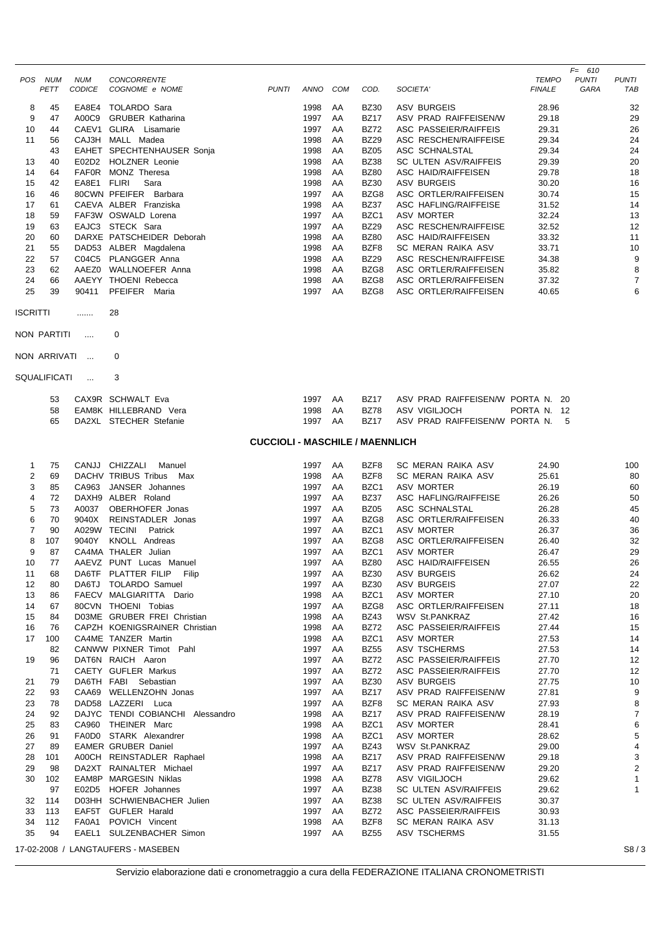|          |              |                             |                                                      |                                        |                 |          |                            |                                                    |                               | $F = 610$            |                     |
|----------|--------------|-----------------------------|------------------------------------------------------|----------------------------------------|-----------------|----------|----------------------------|----------------------------------------------------|-------------------------------|----------------------|---------------------|
| POS      | NUM<br>PETT  | <b>NUM</b><br><b>CODICE</b> | <b>CONCORRENTE</b><br>COGNOME e NOME                 | <b>PUNTI</b>                           | ANNO COM        |          | COD.                       | SOCIETA'                                           | <b>TEMPO</b><br><b>FINALE</b> | <b>PUNTI</b><br>GARA | <b>PUNTI</b><br>TAB |
| 8        | 45           |                             | EA8E4 TOLARDO Sara                                   |                                        | 1998            | AA       | <b>BZ30</b>                | <b>ASV BURGEIS</b>                                 | 28.96                         |                      | 32                  |
| 9        | 47           | A00C9                       | <b>GRUBER Katharina</b>                              |                                        | 1997            | AA       | <b>BZ17</b>                | ASV PRAD RAIFFEISEN/W                              | 29.18                         |                      | 29                  |
| 10       | 44           |                             | CAEV1 GLIRA Lisamarie                                |                                        | 1997            | AA       | <b>BZ72</b>                | ASC PASSEIER/RAIFFEIS                              | 29.31                         |                      | 26                  |
| 11       | 56           |                             | CAJ3H MALL Madea                                     |                                        | 1998            | AA       | <b>BZ29</b>                | ASC RESCHEN/RAIFFEISE                              | 29.34                         |                      | 24                  |
| 13       | 43<br>40     |                             | EAHET SPECHTENHAUSER Sonja<br>E02D2 HOLZNER Leonie   |                                        | 1998<br>1998    | AA<br>AA | <b>BZ05</b><br><b>BZ38</b> | ASC SCHNALSTAL<br>SC ULTEN ASV/RAIFFEIS            | 29.34<br>29.39                |                      | 24<br>20            |
| 14       | 64           |                             | FAF0R MONZ Theresa                                   |                                        | 1998            | AA       | <b>BZ80</b>                | ASC HAID/RAIFFEISEN                                | 29.78                         |                      | 18                  |
| 15       | 42           | EA8E1 FLIRI                 | Sara                                                 |                                        | 1998            | AA       | <b>BZ30</b>                | ASV BURGEIS                                        | 30.20                         |                      | 16                  |
| 16       | 46           |                             | 80CWN PFEIFER Barbara                                |                                        | 1997            | AA       | BZG8                       | ASC ORTLER/RAIFFEISEN                              | 30.74                         |                      | 15                  |
| 17       | 61           |                             | CAEVA ALBER Franziska                                |                                        | 1998            | AA       | <b>BZ37</b>                | ASC HAFLING/RAIFFEISE                              | 31.52                         |                      | 14                  |
| 18       | 59           |                             | FAF3W OSWALD Lorena                                  |                                        | 1997            | AA       | BZC1                       | <b>ASV MORTER</b>                                  | 32.24                         |                      | 13                  |
| 19       | 63           |                             | EAJC3 STECK Sara                                     |                                        | 1997            | AA       | <b>BZ29</b>                | ASC RESCHEN/RAIFFEISE                              | 32.52                         |                      | 12                  |
| 20<br>21 | 60<br>55     |                             | DARXE PATSCHEIDER Deborah<br>DAD53 ALBER Magdalena   |                                        | 1998<br>1998    | AA<br>AA | <b>BZ80</b><br>BZF8        | ASC HAID/RAIFFEISEN<br>SC MERAN RAIKA ASV          | 33.32<br>33.71                |                      | 11<br>10            |
| 22       | 57           |                             | C04C5 PLANGGER Anna                                  |                                        | 1998            | AA       | <b>BZ29</b>                | ASC RESCHEN/RAIFFEISE                              | 34.38                         |                      | 9                   |
| 23       | 62           | AAEZ0                       | WALLNOEFER Anna                                      |                                        | 1998            | AA       | BZG8                       | ASC ORTLER/RAIFFEISEN                              | 35.82                         |                      | 8                   |
| 24       | 66           |                             | AAEYY THOENI Rebecca                                 |                                        | 1998            | AA       | BZG8                       | ASC ORTLER/RAIFFEISEN                              | 37.32                         |                      | 7                   |
| 25       | 39           | 90411                       | PFEIFER Maria                                        |                                        | 1997            | AA       | BZG8                       | ASC ORTLER/RAIFFEISEN                              | 40.65                         |                      | 6                   |
| ISCRITTI |              | .                           | 28                                                   |                                        |                 |          |                            |                                                    |                               |                      |                     |
|          | NON PARTITI  |                             | 0                                                    |                                        |                 |          |                            |                                                    |                               |                      |                     |
|          |              | $\ldots$                    |                                                      |                                        |                 |          |                            |                                                    |                               |                      |                     |
|          | NON ARRIVATI | $\cdots$                    | 0                                                    |                                        |                 |          |                            |                                                    |                               |                      |                     |
|          | SQUALIFICATI | $\cdots$                    | 3                                                    |                                        |                 |          |                            |                                                    |                               |                      |                     |
|          |              |                             |                                                      |                                        |                 |          |                            |                                                    |                               |                      |                     |
|          | 53<br>58     |                             | CAX9R SCHWALT Eva<br>EAM8K HILLEBRAND Vera           |                                        | 1997<br>1998    | AA<br>AA | <b>BZ17</b><br><b>BZ78</b> | ASV PRAD RAIFFEISEN/W PORTA N. 20<br>ASV VIGILJOCH | PORTA N. 12                   |                      |                     |
|          | 65           |                             | DA2XL STECHER Stefanie                               |                                        | 1997 AA         |          | <b>BZ17</b>                | ASV PRAD RAIFFEISEN/W PORTA N.                     | -5                            |                      |                     |
|          |              |                             |                                                      |                                        |                 |          |                            |                                                    |                               |                      |                     |
|          |              |                             |                                                      | <b>CUCCIOLI - MASCHILE / MAENNLICH</b> |                 |          |                            |                                                    |                               |                      |                     |
| 1        | 75           |                             | CANJJ CHIZZALI<br>Manuel                             |                                        | 1997            | AA       | BZF8                       | SC MERAN RAIKA ASV                                 | 24.90                         |                      | 100                 |
| 2        | 69           |                             | DACHV TRIBUS Tribus Max                              |                                        | 1998            | AA       | BZF8                       | SC MERAN RAIKA ASV                                 | 25.61                         |                      | 80                  |
| 3        | 85           |                             | CA963 JANSER Johannes                                |                                        | 1997            | AA       | BZC1                       | <b>ASV MORTER</b>                                  | 26.19                         |                      | 60                  |
| 4<br>5   | 72<br>73     |                             | DAXH9 ALBER Roland                                   |                                        | 1997<br>1997    | AA<br>AA | <b>BZ37</b><br><b>BZ05</b> | ASC HAFLING/RAIFFEISE<br>ASC SCHNALSTAL            | 26.26                         |                      | 50                  |
| 6        | 70           | 9040X                       | A0037 OBERHOFER Jonas<br>REINSTADLER Jonas           |                                        | 1997            | AA       | BZG8                       | ASC ORTLER/RAIFFEISEN                              | 26.28<br>26.33                |                      | 45<br>40            |
| 7        | 90           |                             | A029W TECINI<br>Patrick                              |                                        | 1997            | AA       | BZC1                       | <b>ASV MORTER</b>                                  | 26.37                         |                      | 36                  |
| 8        | 107          | 9040Y                       | <b>KNOLL</b> Andreas                                 |                                        | 1997            | AA       | BZG8                       | ASC ORTLER/RAIFFEISEN                              | 26.40                         |                      | 32                  |
| 9        | 87           |                             | CA4MA THALER Julian                                  |                                        | 1997 AA         |          | BZC1                       | ASV MORTER                                         | 26.47                         |                      | 29                  |
| 10       | 77           |                             | AAEVZ PUNT Lucas Manuel                              |                                        | 1997            | AA       | <b>BZ80</b>                | ASC HAID/RAIFFEISEN                                | 26.55                         |                      | 26                  |
| 11       | 68<br>80     |                             | DA6TF PLATTER FILIP Filip                            |                                        | 1997 AA         |          | <b>BZ30</b>                | <b>ASV BURGEIS</b>                                 | 26.62                         |                      | 24                  |
| 12<br>13 | 86           |                             | DA6TJ TOLARDO Samuel<br>FAECV MALGIARITTA Dario      |                                        | 1997<br>1998    | AA<br>AA | <b>BZ30</b><br>BZC1        | ASV BURGEIS<br>ASV MORTER                          | 27.07<br>27.10                |                      | 22<br>20            |
| 14       | 67           |                             | 80CVN THOENI Tobias                                  |                                        | 1997            | AA       | BZG8                       | ASC ORTLER/RAIFFEISEN                              | 27.11                         |                      | 18                  |
| 15       | 84           |                             | D03ME GRUBER FREI Christian                          |                                        | 1998            | AA       | <b>BZ43</b>                | WSV St.PANKRAZ                                     | 27.42                         |                      | 16                  |
| 16       | 76           |                             | CAPZH KOENIGSRAINER Christian                        |                                        | 1998            | AA       | <b>BZ72</b>                | ASC PASSEIER/RAIFFEIS                              | 27.44                         |                      | 15                  |
| 17       | 100          |                             | CA4ME TANZER Martin                                  |                                        | 1998            | AA       | BZC1                       | ASV MORTER                                         | 27.53                         |                      | 14                  |
|          | 82           |                             | CANWW PIXNER Timot Pahl                              |                                        | 1997            | AA       | <b>BZ55</b>                | ASV TSCHERMS                                       | 27.53                         |                      | 14                  |
| 19       | 96<br>71     |                             | DAT6N RAICH Aaron<br>CAETY GUFLER Markus             |                                        | 1997 AA<br>1997 | AA       | <b>BZ72</b><br><b>BZ72</b> | ASC PASSEIER/RAIFFEIS<br>ASC PASSEIER/RAIFFEIS     | 27.70<br>27.70                |                      | 12<br>12            |
| 21       | 79           |                             | DA6TH FABI Sebastian                                 |                                        | 1997            | AA       | <b>BZ30</b>                | <b>ASV BURGEIS</b>                                 | 27.75                         |                      | 10                  |
| 22       | 93           |                             | CAA69 WELLENZOHN Jonas                               |                                        | 1997 AA         |          | <b>BZ17</b>                | ASV PRAD RAIFFEISEN/W                              | 27.81                         |                      | 9                   |
| 23       | 78           |                             | DAD58 LAZZERI Luca                                   |                                        | 1997            | AA       | BZF8                       | SC MERAN RAIKA ASV                                 | 27.93                         |                      | 8                   |
| 24       | 92           |                             | DAJYC TENDI COBIANCHI Alessandro                     |                                        | 1998            | AA       | <b>BZ17</b>                | ASV PRAD RAIFFEISEN/W                              | 28.19                         |                      | $\overline{7}$      |
| 25       | 83           |                             | CA960 THEINER Marc                                   |                                        | 1998            | AA       | BZC1                       | ASV MORTER                                         | 28.41                         |                      | 6                   |
| 26<br>27 | 91<br>89     |                             | FA0D0 STARK Alexandrer<br><b>EAMER GRUBER Daniel</b> |                                        | 1998<br>1997    | AA<br>AA | BZC1<br><b>BZ43</b>        | <b>ASV MORTER</b><br>WSV St.PANKRAZ                | 28.62<br>29.00                |                      | 5<br>4              |
| 28       | 101          |                             | A00CH REINSTADLER Raphael                            |                                        | 1998            | AA       | <b>BZ17</b>                | ASV PRAD RAIFFEISEN/W                              | 29.18                         |                      | 3                   |
| 29       | 98           |                             | DA2XT RAINALTER Michael                              |                                        | 1997            | AA       | <b>BZ17</b>                | ASV PRAD RAIFFEISEN/W                              | 29.20                         |                      | $\overline{c}$      |
| 30       | 102          |                             | EAM8P MARGESIN Niklas                                |                                        | 1998            | AA       | <b>BZ78</b>                | ASV VIGILJOCH                                      | 29.62                         |                      | $\mathbf{1}$        |
|          | 97           |                             | E02D5 HOFER Johannes                                 |                                        | 1997            | AA       | <b>BZ38</b>                | SC ULTEN ASV/RAIFFEIS                              | 29.62                         |                      | $\mathbf{1}$        |
| 32       | 114          |                             | D03HH SCHWIENBACHER Julien                           |                                        | 1997            | AA       | <b>BZ38</b>                | SC ULTEN ASV/RAIFFEIS                              | 30.37                         |                      |                     |
| 33<br>34 | 113<br>112   |                             | EAF5T GUFLER Harald<br>FA0A1 POVICH Vincent          |                                        | 1997<br>1998    | AA<br>AA | <b>BZ72</b><br>BZF8        | ASC PASSEIER/RAIFFEIS<br>SC MERAN RAIKA ASV        | 30.93<br>31.13                |                      |                     |
| 35       | 94           |                             | EAEL1 SULZENBACHER Simon                             |                                        | 1997 AA         |          | <b>BZ55</b>                | ASV TSCHERMS                                       | 31.55                         |                      |                     |
|          |              |                             | 17-02-2008 / LANGTAUFERS - MASEBEN                   |                                        |                 |          |                            |                                                    |                               |                      | S8/3                |
|          |              |                             |                                                      |                                        |                 |          |                            |                                                    |                               |                      |                     |